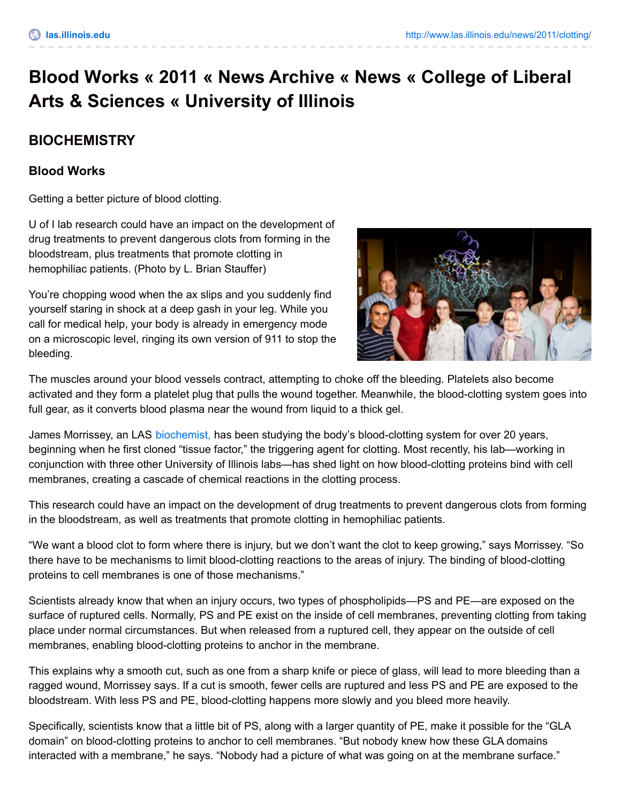## **Blood Works « 2011 « News Archive « News « College of Liberal Arts & Sciences « University of Illinois**

## **BIOCHEMISTRY**

## **Blood Works**

Getting a better picture of blood clotting.

U of I lab research could have an impact on the development of drug treatments to prevent dangerous clots from forming in the bloodstream, plus treatments that promote clotting in hemophiliac patients. (Photo by L. Brian Stauffer)

You're chopping wood when the ax slips and you suddenly find yourself staring in shock at a deep gash in your leg. While you call for medical help, your body is already in emergency mode on a microscopic level, ringing its own version of 911 to stop the bleeding.



The muscles around your blood vessels contract, attempting to choke off the bleeding. Platelets also become activated and they form a platelet plug that pulls the wound together. Meanwhile, the blood-clotting system goes into full gear, as it converts blood plasma near the wound from liquid to a thick gel.

James Morrissey, an LAS [biochemist,](http://www.mcb.illinois.edu/departments/biochemistry/) has been studying the body's blood-clotting system for over 20 years, beginning when he first cloned "tissue factor," the triggering agent for clotting. Most recently, his lab—working in conjunction with three other University of Illinois labs—has shed light on how blood-clotting proteins bind with cell membranes, creating a cascade of chemical reactions in the clotting process.

This research could have an impact on the development of drug treatments to prevent dangerous clots from forming in the bloodstream, as well as treatments that promote clotting in hemophiliac patients.

"We want a blood clot to form where there is injury, but we don't want the clot to keep growing," says Morrissey. "So there have to be mechanisms to limit blood-clotting reactions to the areas of injury. The binding of blood-clotting proteins to cell membranes is one of those mechanisms."

Scientists already know that when an injury occurs, two types of phospholipids—PS and PE—are exposed on the surface of ruptured cells. Normally, PS and PE exist on the inside of cell membranes, preventing clotting from taking place under normal circumstances. But when released from a ruptured cell, they appear on the outside of cell membranes, enabling blood-clotting proteins to anchor in the membrane.

This explains why a smooth cut, such as one from a sharp knife or piece of glass, will lead to more bleeding than a ragged wound, Morrissey says. If a cut is smooth, fewer cells are ruptured and less PS and PE are exposed to the bloodstream. With less PS and PE, blood-clotting happens more slowly and you bleed more heavily.

Specifically, scientists know that a little bit of PS, along with a larger quantity of PE, make it possible for the "GLA domain" on blood-clotting proteins to anchor to cell membranes. "But nobody knew how these GLA domains interacted with a membrane," he says. "Nobody had a picture of what was going on at the membrane surface."